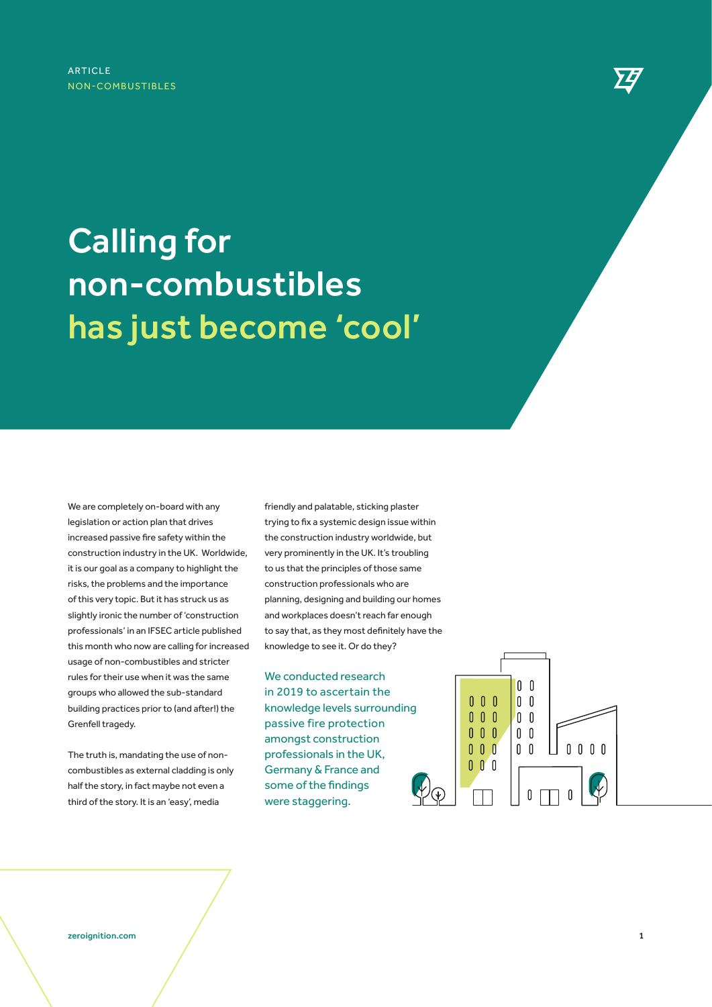## Calling for non-combustibles has just become 'cool'

We are completely on-board with any legislation or action plan that drives increased passive fire safety within the construction industry in the UK. Worldwide, it is our goal as a company to highlight the risks, the problems and the importance of this very topic. But it has struck us as slightly ironic the number of 'construction professionals' in an IFSEC article published this month who now are calling for increased usage of non-combustibles and stricter rules for their use when it was the same groups who allowed the sub-standard building practices prior to (and after!) the Grenfell tragedy.

The truth is, mandating the use of noncombustibles as external cladding is only half the story, in fact maybe not even a third of the story. It is an 'easy', media

friendly and palatable, sticking plaster trying to fix a systemic design issue within the construction industry worldwide, but very prominently in the UK. It's troubling to us that the principles of those same construction professionals who are planning, designing and building our homes and workplaces doesn't reach far enough to say that, as they most definitely have the knowledge to see it. Or do they?

We conducted research in 2019 to ascertain the knowledge levels surrounding passive fire protection amongst construction professionals in the UK, Germany & France and some of the findings were staggering.